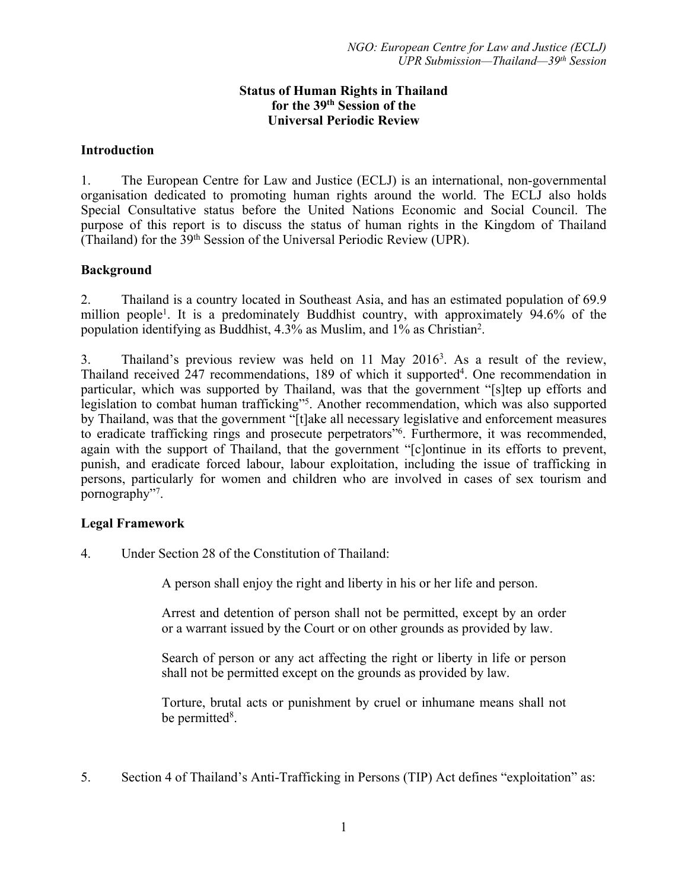## **Status of Human Rights in Thailand for the 39th Session of the Universal Periodic Review**

### **Introduction**

1. The European Centre for Law and Justice (ECLJ) is an international, non-governmental organisation dedicated to promoting human rights around the world. The ECLJ also holds Special Consultative status before the United Nations Economic and Social Council. The purpose of this repor<sup>t</sup> is to discuss the status of human rights in the Kingdom of Thailand (Thailand) for the 39th Session of the Universal Periodic Review (UPR).

## **Background**

2. Thailand is <sup>a</sup> country located in Southeast Asia, and has an estimated population of 69.9 million people<sup>1</sup>. It is a predominately Buddhist country, with approximately 94.6% of the population identifying as Buddhist, 4.3% as Muslim, and 1% as Christian<sup>2</sup> .

3. Thailand'<sup>s</sup> previous review was held on <sup>11</sup> May 2016<sup>3</sup> . As <sup>a</sup> result of the review, Thailand received 247 recommendations, 189 of which it supported<sup>4</sup>. One recommendation in particular, which was supported by Thailand, was that the governmen<sup>t</sup> "[s]tep up efforts and legislation to combat human trafficking"<sup>5</sup>. Another recommendation, which was also supported by Thailand, was that the governmen<sup>t</sup> "[t]ake all necessary legislative and enforcement measures to eradicate trafficking rings and prosecute perpetrators"<sup>6</sup> . Furthermore, it was recommended, again with the suppor<sup>t</sup> of Thailand, that the governmen<sup>t</sup> "[c]ontinue in its efforts to prevent, punish, and eradicate forced labour, labour exploitation, including the issue of trafficking in persons, particularly for women and children who are involved in cases of sex tourism and pornography"<sup>7</sup> .

# **Legal Framework**

4. Under Section 28 of the Constitution of Thailand:

A person shall enjoy the right and liberty in his or her life and person.

Arrest and detention of person shall not be permitted, excep<sup>t</sup> by an order or <sup>a</sup> warrant issued by the Court or on other grounds as provided by law.

Search of person or any act affecting the right or liberty in life or person shall not be permitted excep<sup>t</sup> on the grounds as provided by law.

Torture, brutal acts or punishment by cruel or inhumane means shall not be permitted<sup>8</sup>.

5. Section 4 of Thailand'<sup>s</sup> Anti-Trafficking in Persons (TIP) Act defines "exploitation" as: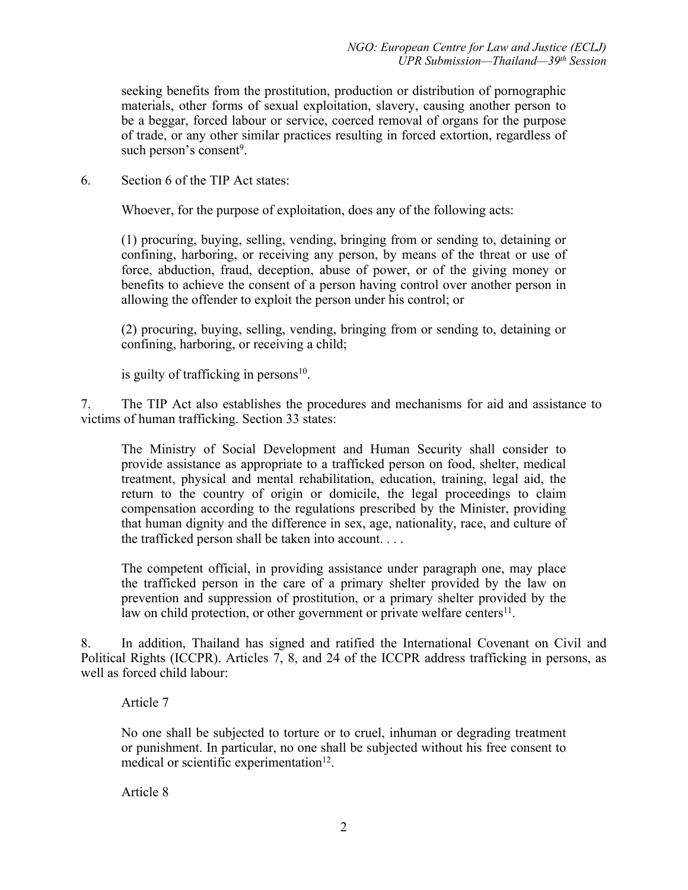seeking benefits from the prostitution, production or distribution of pornographic materials, other forms of sexual exploitation, slavery, causing another person to be <sup>a</sup> beggar, forced labour or service, coerced removal of organs for the purpose of trade, or any other similar practices resulting in forced extortion, regardless of such person's consent<sup>9</sup>.

6. Section 6 of the TIP Act states:

Whoever, for the purpose of exploitation, does any of the following acts:

(1) procuring, buying, selling, vending, bringing from or sending to, detaining or confining, harboring, or receiving any person, by means of the threat or use of force, abduction, fraud, deception, abuse of power, or of the giving money or benefits to achieve the consent of <sup>a</sup> person having control over another person in allowing the offender to exploit the person under his control; or

(2) procuring, buying, selling, vending, bringing from or sending to, detaining or confining, harboring, or receiving <sup>a</sup> child;

is guilty of trafficking in persons 10 .

7. The TIP Act also establishes the procedures and mechanisms for aid and assistance to victims of human trafficking. Section 33 states:

The Ministry of Social Development and Human Security shall consider to provide assistance as appropriate to <sup>a</sup> trafficked person on food, shelter, medical treatment, physical and mental rehabilitation, education, training, legal aid, the return to the country of origin or domicile, the legal proceedings to claim compensation according to the regulations prescribed by the Minister, providing that human dignity and the difference in sex, age, nationality, race, and culture of the trafficked person shall be taken into account. . . .

The competent official, in providing assistance under paragraph one, may place the trafficked person in the care of <sup>a</sup> primary shelter provided by the law on prevention and suppression of prostitution, or <sup>a</sup> primary shelter provided by the law on child protection, or other government or private welfare centers<sup>11</sup>.

8. In addition, Thailand has signed and ratified the International Covenant on Civil and Political Rights (ICCPR). Articles 7, 8, and 24 of the ICCPR address trafficking in persons, as well as forced child labour:

### Article 7

No one shall be subjected to torture or to cruel, inhuman or degrading treatment or punishment. In particular, no one shall be subjected without his free consent to medical or scientific experimentation<sup>12</sup>.

Article 8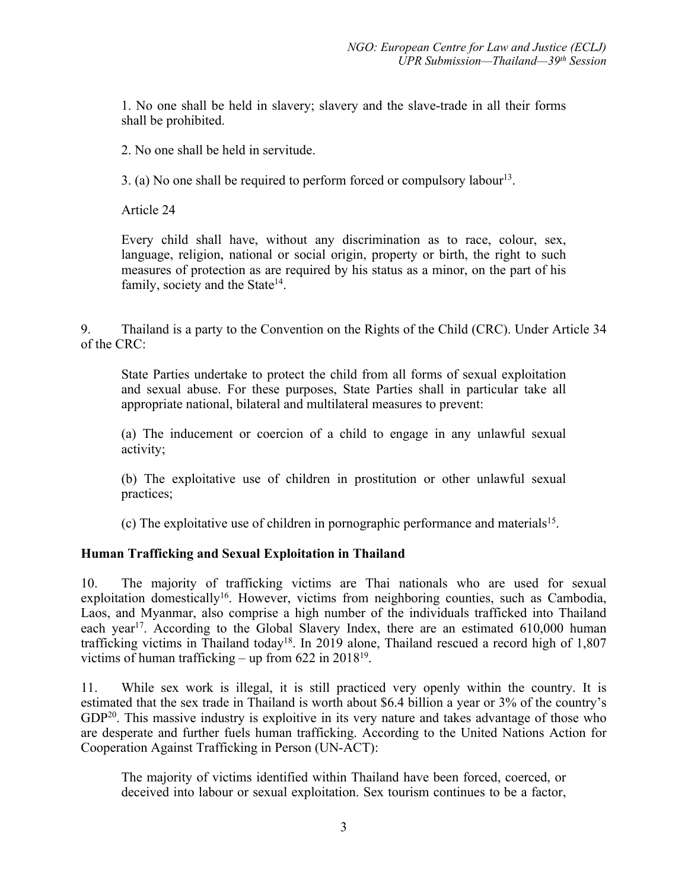1. No one shall be held in slavery; slavery and the slave-trade in all their forms shall be prohibited.

2. No one shall be held in servitude.

3. (a) No one shall be required to perform forced or compulsory labour 13 .

Article 24

Every child shall have, without any discrimination as to race, colour, sex, language, religion, national or social origin, property or birth, the right to such measures of protection as are required by his status as <sup>a</sup> minor, on the par<sup>t</sup> of his family, society and the State<sup>14</sup>.

9. Thailand is <sup>a</sup> party to the Convention on the Rights of the Child (CRC). Under Article 34 of the CRC:

State Parties undertake to protect the child from all forms of sexual exploitation and sexual abuse. For these purposes, State Parties shall in particular take all appropriate national, bilateral and multilateral measures to prevent:

(a) The inducement or coercion of <sup>a</sup> child to engage in any unlawful sexual activity;

(b) The exploitative use of children in prostitution or other unlawful sexual practices;

(c) The exploitative use of children in pornographic performance and materials 15 .

### **Human Trafficking and Sexual Exploitation in Thailand**

10. The majority of trafficking victims are Thai nationals who are used for sexual exploitation domestically<sup>16</sup>. However, victims from neighboring counties, such as Cambodia, Laos, and Myanmar, also comprise <sup>a</sup> high number of the individuals trafficked into Thailand each year<sup>17</sup>. According to the Global Slavery Index, there are an estimated 610,000 human trafficking victims in Thailand today<sup>18</sup>. In 2019 alone, Thailand rescued a record high of 1,807 victims of human trafficking – up from 622 in 2018<sup>19</sup> .

11. While sex work is illegal, it is still practiced very openly within the country. It is estimated that the sex trade in Thailand is worth about \$6.4 billion <sup>a</sup> year or 3% of the country'<sup>s</sup> GDP<sup>20</sup>. This massive industry is exploitive in its very nature and takes advantage of those who are desperate and further fuels human trafficking. According to the United Nations Action for Cooperation Against Trafficking in Person (UN-ACT):

The majority of victims identified within Thailand have been forced, coerced, or deceived into labour or sexual exploitation. Sex tourism continues to be <sup>a</sup> factor,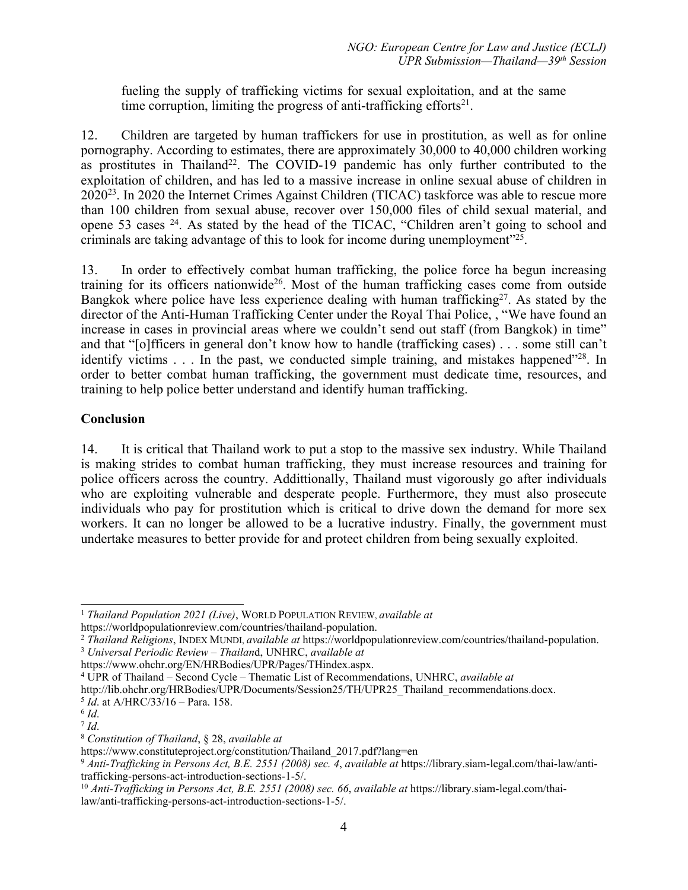fueling the supply of trafficking victims for sexual exploitation, and at the same time corruption, limiting the progress of anti-trafficking efforts<sup>21</sup>.

12. Children are targeted by human traffickers for use in prostitution, as well as for online pornography. According to estimates, there are approximately 30,000 to 40,000 children working as prostitutes in Thailand<sup>22</sup>. The COVID-19 pandemic has only further contributed to the exploitation of children, and has led to <sup>a</sup> massive increase in online sexual abuse of children in 2020<sup>23</sup>. In 2020 the Internet Crimes Against Children (TICAC) taskforce was able to rescue more than 100 children from sexual abuse, recover over 150,000 files of child sexual material, and opene 53 cases <sup>24</sup>. As stated by the head of the TICAC, "Children aren't going to school and criminals are taking advantage of this to look for income during unemployment"<sup>25</sup> .

13. In order to effectively combat human trafficking, the police force ha begun increasing training for its officers nationwide<sup>26</sup>. Most of the human trafficking cases come from outside Bangkok where police have less experience dealing with human trafficking<sup>27</sup>. As stated by the director of the Anti-Human Trafficking Center under the Royal Thai Police, , "We have found an increase in cases in provincial areas where we couldn't send out staff (from Bangkok) in time" and that "[o]fficers in general don'<sup>t</sup> know how to handle (trafficking cases) . . . some still can'<sup>t</sup> identify victims . . . In the past, we conducted simple training, and mistakes happened"<sup>28</sup>. In order to better combat human trafficking, the governmen<sup>t</sup> must dedicate time, resources, and training to help police better understand and identify human trafficking.

## **Conclusion**

14. It is critical that Thailand work to pu<sup>t</sup> <sup>a</sup> stop to the massive sex industry. While Thailand is making strides to combat human trafficking, they must increase resources and training for police officers across the country. Addittionally, Thailand must vigorously go after individuals who are exploiting vulnerable and desperate people. Furthermore, they must also prosecute individuals who pay for prostitution which is critical to drive down the demand for more sex workers. It can no longer be allowed to be <sup>a</sup> lucrative industry. Finally, the governmen<sup>t</sup> must undertake measures to better provide for and protect children from being sexually exploited.

<sup>3</sup> *Universal Periodic Review – Thailan*d, UNHRC, *available at*

https://www.ohchr.org/EN/HRBodies/UPR/Pages/THindex.aspx.

<sup>8</sup> *Constitution of Thailand*, § 28, *available at*

<sup>1</sup> *Thailand Population 2021 (Live)*, WORLD POPULATION REVIEW, *available at*

https://worldpopulationreview.com/countries/thailand-population.

<sup>2</sup> *Thailand Religions*, INDEX MUNDI, *available at* https://worldpopulationreview.com/countries/thailand-population.

<sup>4</sup> UPR of Thailand – Second Cycle – Thematic List of Recommendations, UNHRC, *available at*

http://lib.ohchr.org/HRBodies/UPR/Documents/Session25/TH/UPR25\_Thailand\_recommendations.docx.

<sup>5</sup> *Id*. at A/HRC/33/16 – Para. 158.

<sup>6</sup> *Id*.

<sup>7</sup> *Id*.

https://www.constituteproject.org/constitution/Thailand\_2017.pdf?lang=en

<sup>9</sup> *Anti-Trafficking in Persons Act, B.E. 2551 (2008) sec. 4*, *available at* https://library.siam-legal.com/thai-law/antitrafficking-persons-act-introduction-sections-1-5/.

<sup>10</sup> *Anti-Trafficking in Persons Act, B.E. 2551 (2008) sec. 66*, *available at* https://library.siam-legal.com/thailaw/anti-trafficking-persons-act-introduction-sections-1-5/.